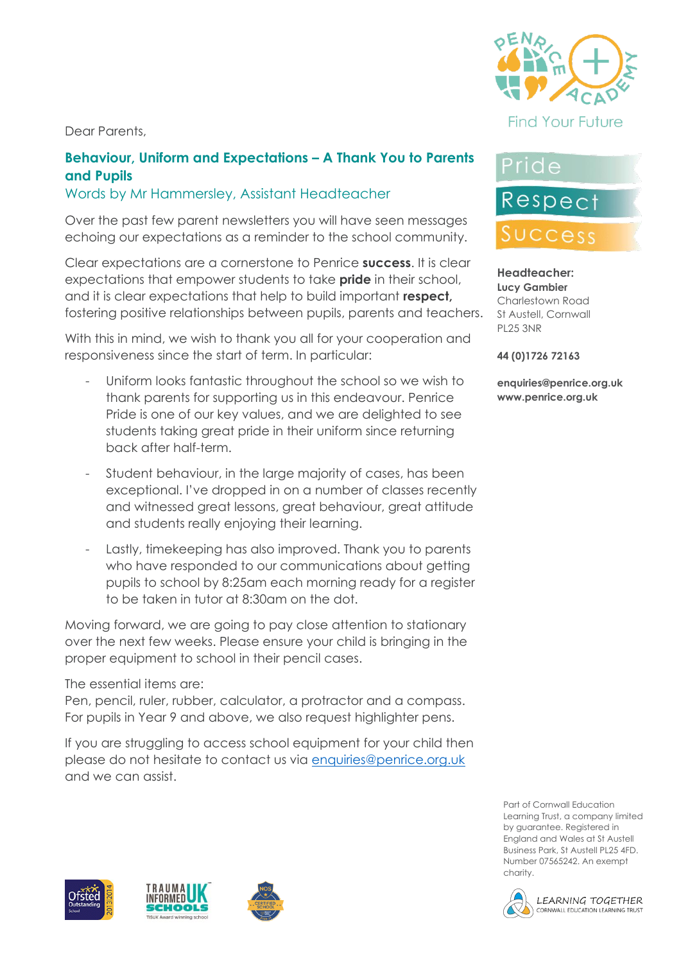Dear Parents,



# Pride

#### **and Pupils** Words by Mr Hammersley, Assistant Headteacher

Over the past few parent newsletters you will have seen messages echoing our expectations as a reminder to the school community.

**Behaviour, Uniform and Expectations – A Thank You to Parents** 

Clear expectations are a cornerstone to Penrice **success**. It is clear expectations that empower students to take **pride** in their school, and it is clear expectations that help to build important **respect,**  fostering positive relationships between pupils, parents and teachers.

With this in mind, we wish to thank you all for your cooperation and responsiveness since the start of term. In particular:

- Uniform looks fantastic throughout the school so we wish to thank parents for supporting us in this endeavour. Penrice Pride is one of our key values, and we are delighted to see students taking great pride in their uniform since returning back after half-term.
- Student behaviour, in the large majority of cases, has been exceptional. I've dropped in on a number of classes recently and witnessed great lessons, great behaviour, great attitude and students really enjoying their learning.
- Lastly, timekeeping has also improved. Thank you to parents who have responded to our communications about getting pupils to school by 8:25am each morning ready for a register to be taken in tutor at 8:30am on the dot.

Moving forward, we are going to pay close attention to stationary over the next few weeks. Please ensure your child is bringing in the proper equipment to school in their pencil cases.

The essential items are:

Pen, pencil, ruler, rubber, calculator, a protractor and a compass. For pupils in Year 9 and above, we also request highlighter pens.

If you are struggling to access school equipment for your child then please do not hesitate to contact us via [enquiries@penrice.org.uk](mailto:enquiries@penrice.org.uk) and we can assist.









Respect

UCCess

**44 (0)1726 72163**

**enquiries@penrice.org.uk www.penrice.org.uk**





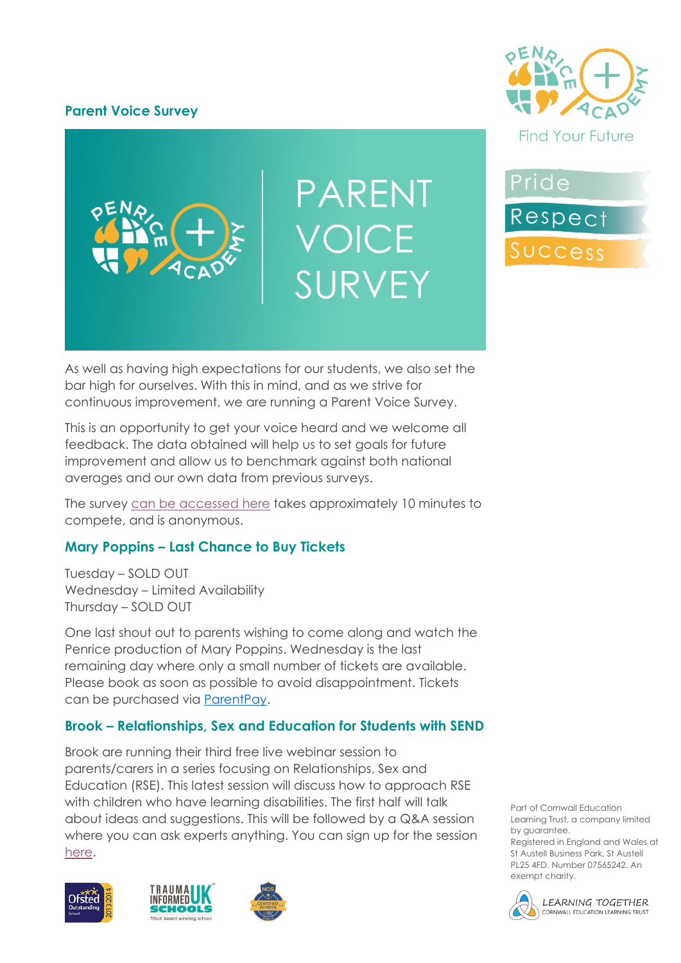## **Parent Voice Survey**



**PARENT** VOICE SURVEY

Pride Respect Success

As well as having high expectations for our students, we also set the bar high for ourselves. With this in mind, and as we strive for continuous improvement, we are running a Parent Voice Survey.

This is an opportunity to get your voice heard and we welcome all feedback. The data obtained will help us to set goals for future improvement and allow us to benchmark against both national averages and our own data from previous surveys.

The survey [can be accessed here](https://forms.office.com/Pages/ResponsePage.aspx?id=hh7Px_d8LESmjGlMcvemP0EjmBDRoUNGjZyVRcmxZCtUMEs4M0ZZQVlMNjBPVkFMVU9SMVFRUkExVy4u) takes approximately 10 minutes to compete, and is anonymous.

# **Mary Poppins – Last Chance to Buy Tickets**

Tuesday – SOLD OUT Wednesday – Limited Availability Thursday – SOLD OUT

One last shout out to parents wishing to come along and watch the Penrice production of Mary Poppins. Wednesday is the last remaining day where only a small number of tickets are available. Please book as soon as possible to avoid disappointment. Tickets can be purchased via [ParentPay.](https://www.parentpay.com/)

### **Brook – Relationships, Sex and Education for Students with SEND**

Brook are running their third free live webinar session to parents/carers in a series focusing on Relationships, Sex and Education (RSE). This latest session will discuss how to approach RSE with children who have learning disabilities. The first half will talk about ideas and suggestions. This will be followed by a Q&A session where you can ask experts anything. You can sign up for the session [here.](https://brook.zoom.us/webinar/register/WN_w41W9_81RaKo22VuWRdPCw)







Part of Cornwall Education Learning Trust, a company limited by guarantee.

Registered in England and Wales at St Austell Business Park, St Austell PL25 4FD. Number 07565242. An exempt charity.

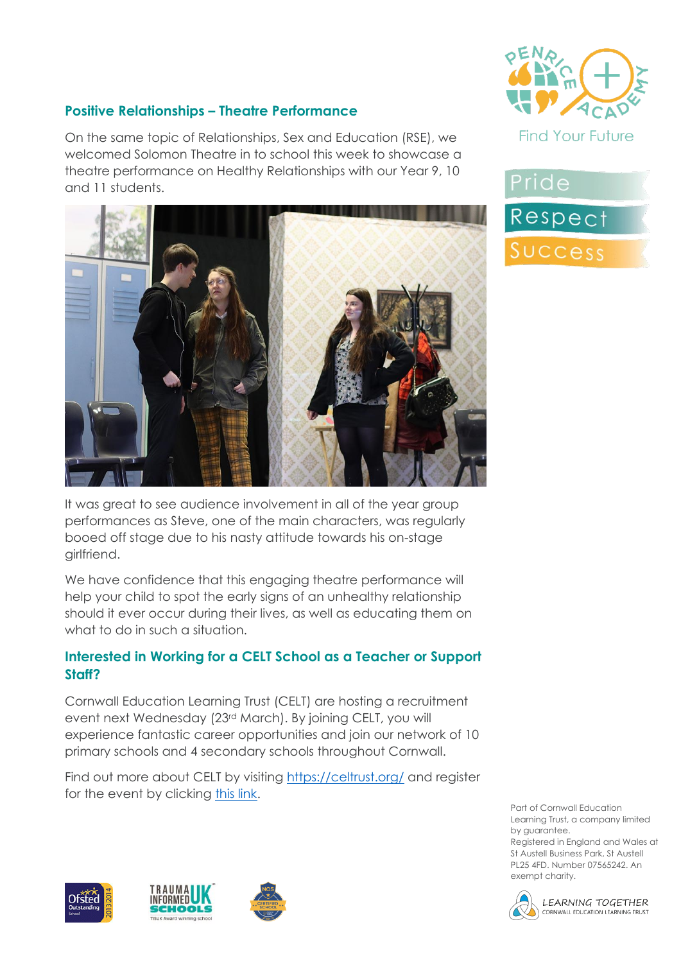





Part of Cornwall Education Learning Trust, a company limited by guarantee. Registered in England and Wales at St Austell Business Park, St Austell PL25 4FD. Number 07565242. An exempt charity.

#### LEARNING TOGETHER CORNWALL EDUCATION LEARNING TRUST

# **Positive Relationships – Theatre Performance**

On the same topic of Relationships, Sex and Education (RSE), we welcomed Solomon Theatre in to school this week to showcase a theatre performance on Healthy Relationships with our Year 9, 10 and 11 students.



It was great to see audience involvement in all of the year group performances as Steve, one of the main characters, was regularly booed off stage due to his nasty attitude towards his on-stage girlfriend.

We have confidence that this engaging theatre performance will help your child to spot the early signs of an unhealthy relationship should it ever occur during their lives, as well as educating them on what to do in such a situation.

## **Interested in Working for a CELT School as a Teacher or Support Staff?**

Cornwall Education Learning Trust (CELT) are hosting a recruitment event next Wednesday (23rd March). By joining CELT, you will experience fantastic career opportunities and join our network of 10 primary schools and 4 secondary schools throughout Cornwall.

Find out more about CELT by visiting<https://celtrust.org/> and register for the event by clicking [this link.](https://forms.office.com/Pages/ResponsePage.aspx?id=VwpMcoFJHE2PehfjOiPv8_RWmLMThPpOshAk4qqx615UN1BQTThMQ0lKTUpSMzUzV0pCOUlXTTJNSC4u&wdLOR=c6A7FD843-E898-4E6F-A681-7CD1AFB3507E&fbclid=IwAR2gpDAmnS3ZBHS0d0ugMiGEqWRkxjQ_grsfiXpSBw6Dp0yea1UqO4OTYHE)

Pride Respect



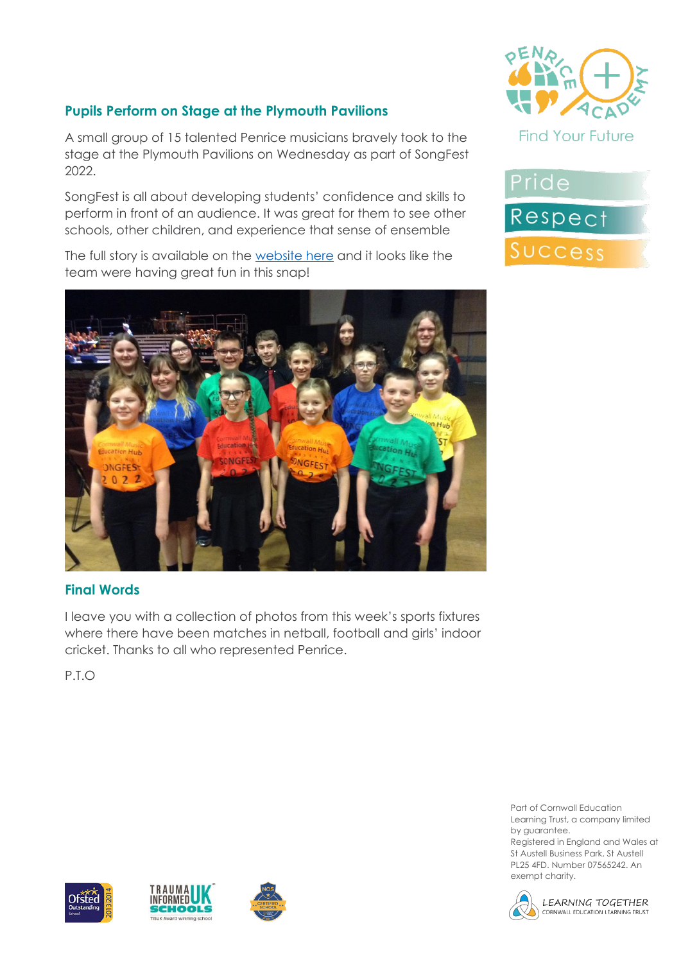# **Pupils Perform on Stage at the Plymouth Pavilions**

A small group of 15 talented Penrice musicians bravely took to the stage at the Plymouth Pavilions on Wednesday as part of SongFest 2022.

SongFest is all about developing students' confidence and skills to perform in front of an audience. It was great for them to see other schools, other children, and experience that sense of ensemble

The full story is available on the [website here](https://www.penriceacademy.org/songfest-2022-pupils-take-to-the-stage-at-the-plymouth-pavilions/) and it looks like the team were having great fun in this snap!



# **Final Words**

I leave you with a collection of photos from this week's sports fixtures where there have been matches in netball, football and girls' indoor cricket. Thanks to all who represented Penrice.

P.T.O





Part of Cornwall Education Learning Trust, a company limited by guarantee.

Registered in England and Wales at St Austell Business Park, St Austell PL25 4FD. Number 07565242. An exempt charity.